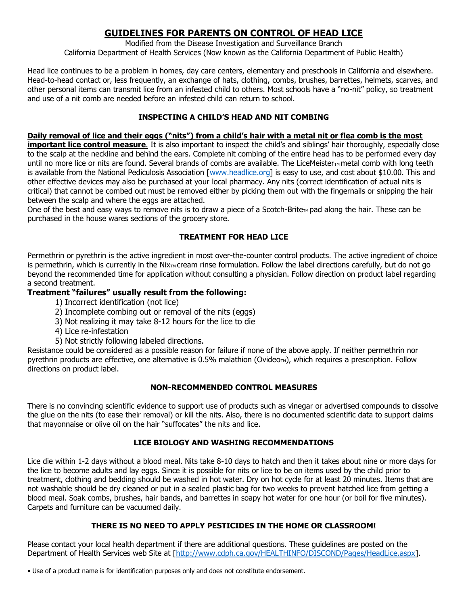# **GUIDELINES FOR PARENTS ON CONTROL OF HEAD LICE**

Modified from the Disease Investigation and Surveillance Branch California Department of Health Services (Now known as the California Department of Public Health)

Head lice continues to be a problem in homes, day care centers, elementary and preschools in California and elsewhere. Head-to-head contact or, less frequently, an exchange of hats, clothing, combs, brushes, barrettes, helmets, scarves, and other personal items can transmit lice from an infested child to others. Most schools have a "no-nit" policy, so treatment and use of a nit comb are needed before an infested child can return to school.

#### **INSPECTING A CHILD'S HEAD AND NIT COMBING**

#### **Daily removal of lice and their eggs ("nits") from a child's hair with a metal nit or flea comb is the most**

**important lice control measure**. It is also important to inspect the child's and siblings' hair thoroughly, especially close to the scalp at the neckline and behind the ears. Complete nit combing of the entire head has to be performed every day until no more lice or nits are found. Several brands of combs are available. The LiceMeister<sub>M</sub> metal comb with long teeth is available from the National Pediculosis Association [\[www.headlice.org\]](www.headlice.org) is easy to use, and cost about \$10.00. This and other effective devices may also be purchased at your local pharmacy. Any nits (correct identification of actual nits is critical) that cannot be combed out must be removed either by picking them out with the fingernails or snipping the hair between the scalp and where the eggs are attached.

One of the best and easy ways to remove nits is to draw a piece of a Scotch-Brite<sub>TM</sub> pad along the hair. These can be purchased in the house wares sections of the grocery store.

### **TREATMENT FOR HEAD LICE**

Permethrin or pyrethrin is the active ingredient in most over-the-counter control products. The active ingredient of choice is permethrin, which is currently in the Nix<sub>TM</sub> cream rinse formulation. Follow the label directions carefully, but do not go beyond the recommended time for application without consulting a physician. Follow direction on product label regarding a second treatment.

#### **Treatment "failures" usually result from the following:**

- 1) Incorrect identification (not lice)
- 2) Incomplete combing out or removal of the nits (eggs)
- 3) Not realizing it may take 8-12 hours for the lice to die
- 4) Lice re-infestation
- 5) Not strictly following labeled directions.

Resistance could be considered as a possible reason for failure if none of the above apply. If neither permethrin nor pyrethrin products are effective, one alternative is 0.5% malathion (Ovideo<sub>M</sub>), which requires a prescription. Follow directions on product label.

#### **NON-RECOMMENDED CONTROL MEASURES**

There is no convincing scientific evidence to support use of products such as vinegar or advertised compounds to dissolve the glue on the nits (to ease their removal) or kill the nits. Also, there is no documented scientific data to support claims that mayonnaise or olive oil on the hair "suffocates" the nits and lice.

#### **LICE BIOLOGY AND WASHING RECOMMENDATIONS**

Lice die within 1-2 days without a blood meal. Nits take 8-10 days to hatch and then it takes about nine or more days for the lice to become adults and lay eggs. Since it is possible for nits or lice to be on items used by the child prior to treatment, clothing and bedding should be washed in hot water. Dry on hot cycle for at least 20 minutes. Items that are not washable should be dry cleaned or put in a sealed plastic bag for two weeks to prevent hatched lice from getting a blood meal. Soak combs, brushes, hair bands, and barrettes in soapy hot water for one hour (or boil for five minutes). Carpets and furniture can be vacuumed daily.

#### **THERE IS NO NEED TO APPLY PESTICIDES IN THE HOME OR CLASSROOM!**

Please contact your local health department if there are additional questions. These guidelines are posted on the Department of Health Services web Site at [\[http://www.cdph.ca.gov/HEALTHINFO/DISCOND/Pages/HeadLice.aspx\]](http://www.cdph.ca.gov/HEALTHINFO/DISCOND/Pages/HeadLice.aspx).

• Use of a product name is for identification purposes only and does not constitute endorsement.